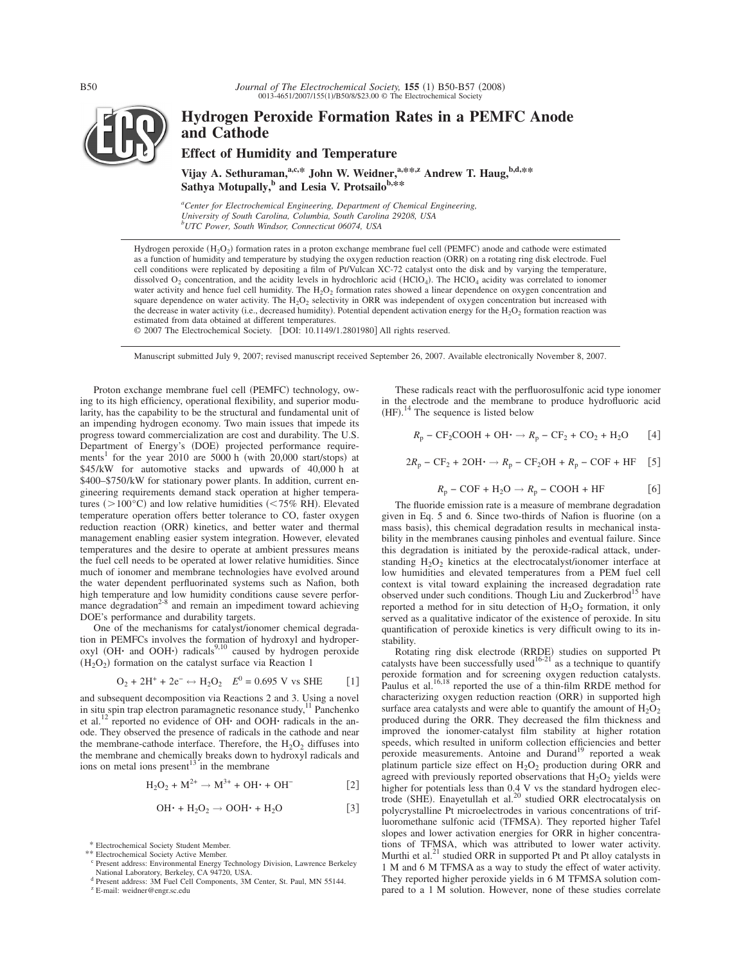

# **Hydrogen Peroxide Formation Rates in a PEMFC Anode and Cathode**

**Effect of Humidity and Temperature**

Vijay A. Sethuraman,<sup>a,c,\*</sup> John W. Weidner,<sup>a,\*\*,z</sup> Andrew T. Haug,<sup>b,d,\*\*</sup> Sathya Motupally,<sup>b</sup> and Lesia V. Protsailo<sup>b,\*\*</sup>

*a Center for Electrochemical Engineering, Department of Chemical Engineering, University of South Carolina, Columbia, South Carolina 29208, USA b UTC Power, South Windsor, Connecticut 06074, USA*

Hydrogen peroxide (H<sub>2</sub>O<sub>2</sub>) formation rates in a proton exchange membrane fuel cell (PEMFC) anode and cathode were estimated as a function of humidity and temperature by studying the oxygen reduction reaction (ORR) on a rotating ring disk electrode. Fuel cell conditions were replicated by depositing a film of Pt/Vulcan XC-72 catalyst onto the disk and by varying the temperature, dissolved  $O_2$  concentration, and the acidity levels in hydrochloric acid (HClO<sub>4</sub>). The HClO<sub>4</sub> acidity was correlated to ionomer water activity and hence fuel cell humidity. The H<sub>2</sub>O<sub>2</sub> formation rates showed a linear dependence on oxygen concentration and square dependence on water activity. The  $H_2O_2$  selectivity in ORR was independent of oxygen concentration but increased with the decrease in water activity (i.e., decreased humidity). Potential dependent activation energy for the  $H_2O_2$  formation reaction was estimated from data obtained at different temperatures.

© 2007 The Electrochemical Society. [DOI: 10.1149/1.2801980] All rights reserved.

Manuscript submitted July 9, 2007; revised manuscript received September 26, 2007. Available electronically November 8, 2007.

Proton exchange membrane fuel cell (PEMFC) technology, owing to its high efficiency, operational flexibility, and superior modularity, has the capability to be the structural and fundamental unit of an impending hydrogen economy. Two main issues that impede its progress toward commercialization are cost and durability. The U.S. Department of Energy's (DOE) projected performance requirements<sup>1</sup> for the year 2010 are 5000 h (with 20,000 start/stops) at \$45/kW for automotive stacks and upwards of 40,000 h at \$400–\$750/kW for stationary power plants. In addition, current engineering requirements demand stack operation at higher temperatures ( $> 100^{\circ}$ C) and low relative humidities (<75% RH). Elevated temperature operation offers better tolerance to CO, faster oxygen reduction reaction (ORR) kinetics, and better water and thermal management enabling easier system integration. However, elevated temperatures and the desire to operate at ambient pressures means the fuel cell needs to be operated at lower relative humidities. Since much of ionomer and membrane technologies have evolved around the water dependent perfluorinated systems such as Nafion, both high temperature and low humidity conditions cause severe performance degradation $2^{-8}$  and remain an impediment toward achieving DOE's performance and durability targets.

One of the mechanisms for catalyst/ionomer chemical degradation in PEMFCs involves the formation of hydroxyl and hydroperoxyl (OH· and OOH·) radicals<sup>9,10</sup> caused by hydrogen peroxide  $(H_2O_2)$  formation on the catalyst surface via Reaction 1

$$
O_2 + 2H^+ + 2e^- \leftrightarrow H_2O_2 \quad E^0 = 0.695 \text{ V vs SHE} \tag{1}
$$

and subsequent decomposition via Reactions 2 and 3. Using a novel in situ spin trap electron paramagnetic resonance study,<sup>11</sup> Panchenko et al.12 reported no evidence of OH**·** and OOH**·** radicals in the anode. They observed the presence of radicals in the cathode and near the membrane-cathode interface. Therefore, the  $H_2O_2$  diffuses into the membrane and chemically breaks down to hydroxyl radicals and ions on metal ions present $13$  in the membrane

$$
H_2O_2 + M^{2+} \rightarrow M^{3+} + OH \cdot + OH^{-}
$$
 [2]

$$
\mathrm{OH}^\centerdot + \mathrm{H}_2\mathrm{O}_2 \rightarrow \mathrm{OOH}^\centerdot + \mathrm{H}_2\mathrm{O} \qquad \qquad \text{[3]}
$$

\* Electrochemical Society Student Member.

\*\* Electrochemical Society Active Member. <sup>c</sup> Present address: Environmental Energy Technology Division, Lawrence Berkeley National Laboratory, Berkeley, CA 94720, USA.

These radicals react with the perfluorosulfonic acid type ionomer in the electrode and the membrane to produce hydrofluoric acid  $(HF).$ <sup>14</sup> The sequence is listed below

$$
R_p - CF_2COOH + OH \cdot \rightarrow R_p - CF_2 + CO_2 + H_2O \qquad [4]
$$

$$
2R_p - CF_2 + 2OH \cdot \rightarrow R_p - CF_2OH + R_p - COF + HF \quad [5]
$$

$$
R_p - \text{COF} + \text{H}_2\text{O} \rightarrow R_p - \text{COOH} + \text{HF} \tag{6}
$$

The fluoride emission rate is a measure of membrane degradation given in Eq. 5 and 6. Since two-thirds of Nafion is fluorine (on a mass basis), this chemical degradation results in mechanical instability in the membranes causing pinholes and eventual failure. Since this degradation is initiated by the peroxide-radical attack, understanding  $H_2O_2$  kinetics at the electrocatalyst/ionomer interface at low humidities and elevated temperatures from a PEM fuel cell context is vital toward explaining the increased degradation rate observed under such conditions. Though Liu and Zuckerbrod<sup>15</sup> have reported a method for in situ detection of  $H_2O_2$  formation, it only served as a qualitative indicator of the existence of peroxide. In situ quantification of peroxide kinetics is very difficult owing to its instability.

Rotating ring disk electrode (RRDE) studies on supported Pt catalysts have been successfully used<sup>16-21</sup> as a technique to quantify peroxide formation and for screening oxygen reduction catalysts.<br>Paulus et al.<sup>16,18</sup> reported the use of a thin-film RRDE method for characterizing oxygen reduction reaction (ORR) in supported high surface area catalysts and were able to quantify the amount of  $H_2O_2$ produced during the ORR. They decreased the film thickness and improved the ionomer-catalyst film stability at higher rotation speeds, which resulted in uniform collection efficiencies and better peroxide measurements. Antoine and Durand<sup>19</sup> reported a weak platinum particle size effect on  $H_2O_2$  production during ORR and agreed with previously reported observations that  $H_2O_2$  yields were higher for potentials less than 0.4 V vs the standard hydrogen electrode (SHE). Enayetullah et al.<sup>20</sup> studied ORR electrocatalysis on polycrystalline Pt microelectrodes in various concentrations of trifluoromethane sulfonic acid (TFMSA). They reported higher Tafel slopes and lower activation energies for ORR in higher concentrations of TFMSA, which was attributed to lower water activity.<br>Murthi et al.<sup>21</sup> studied ORR in supported Pt and Pt alloy catalysts in 1 M and 6 M TFMSA as a way to study the effect of water activity. They reported higher peroxide yields in 6 M TFMSA solution compared to a 1 M solution. However, none of these studies correlate

Present address: 3M Fuel Cell Components, 3M Center, St. Paul, MN 55144.

<sup>z</sup> E-mail: weidner@engr.sc.edu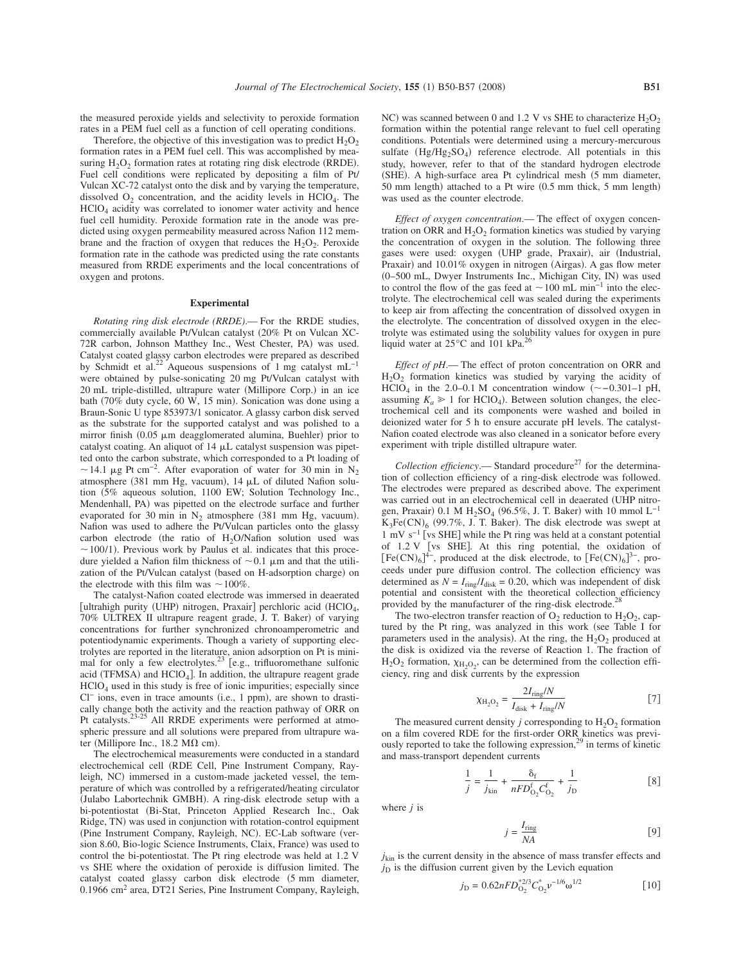the measured peroxide yields and selectivity to peroxide formation rates in a PEM fuel cell as a function of cell operating conditions.

Therefore, the objective of this investigation was to predict  $H_2O_2$ formation rates in a PEM fuel cell. This was accomplished by measuring  $H_2O_2$  formation rates at rotating ring disk electrode (RRDE). Fuel cell conditions were replicated by depositing a film of Pt/ Vulcan XC-72 catalyst onto the disk and by varying the temperature, dissolved  $O_2$  concentration, and the acidity levels in HClO<sub>4</sub>. The HClO4 acidity was correlated to ionomer water activity and hence fuel cell humidity. Peroxide formation rate in the anode was predicted using oxygen permeability measured across Nafion 112 membrane and the fraction of oxygen that reduces the  $H_2O_2$ . Peroxide formation rate in the cathode was predicted using the rate constants measured from RRDE experiments and the local concentrations of oxygen and protons.

## **Experimental**

*Rotating ring disk electrode (RRDE)*.— For the RRDE studies, commercially available Pt/Vulcan catalyst (20% Pt on Vulcan XC-72R carbon, Johnson Matthey Inc., West Chester, PA) was used. Catalyst coated glassy carbon electrodes were prepared as described by Schmidt et al.<sup>22</sup> Aqueous suspensions of 1 mg catalyst mL<sup>-1</sup> were obtained by pulse-sonicating 20 mg Pt/Vulcan catalyst with 20 mL triple-distilled, ultrapure water (Millipore Corp.) in an ice bath (70% duty cycle, 60 W, 15 min). Sonication was done using a Braun-Sonic U type 853973/1 sonicator. A glassy carbon disk served as the substrate for the supported catalyst and was polished to a mirror finish (0.05  $\mu$ m deagglomerated alumina, Buehler) prior to catalyst coating. An aliquot of  $14 \mu L$  catalyst suspension was pipetted onto the carbon substrate, which corresponded to a Pt loading of  $\sim$  14.1 µg Pt cm<sup>-2</sup>. After evaporation of water for 30 min in N<sub>2</sub> atmosphere (381 mm Hg, vacuum), 14 µL of diluted Nafion solution 5% aqueous solution, 1100 EW; Solution Technology Inc., Mendenhall, PA) was pipetted on the electrode surface and further evaporated for 30 min in  $N_2$  atmosphere (381 mm Hg, vacuum). Nafion was used to adhere the Pt/Vulcan particles onto the glassy carbon electrode (the ratio of  $H_2O/N$ afion solution used was  $\sim$  100/1). Previous work by Paulus et al. indicates that this procedure yielded a Nafion film thickness of  $\sim 0.1$   $\mu$ m and that the utilization of the Pt/Vulcan catalyst (based on H-adsorption charge) on the electrode with this film was  $\sim$  100%.

The catalyst-Nafion coated electrode was immersed in deaerated [ultrahigh purity (UHP) nitrogen, Praxair] perchloric acid (HClO<sub>4</sub>, 70% ULTREX II ultrapure reagent grade, J. T. Baker) of varying concentrations for further synchronized chronoamperometric and potentiodynamic experiments. Though a variety of supporting electrolytes are reported in the literature, anion adsorption on Pt is mini-<br>mal for only a few electrolytes.<sup>23</sup> [e.g., trifluoromethane sulfonic acid (TFMSA) and HClO<sub>4</sub>]. In addition, the ultrapure reagent grade  $HClO<sub>4</sub>$  used in this study is free of ionic impurities; especially since Cl<sup>−</sup> ions, even in trace amounts (i.e., 1 ppm), are shown to drastically change both the activity and the reaction pathway of ORR on Pt catalysts.<sup>23-25</sup> All RRDE experiments were performed at atmospheric pressure and all solutions were prepared from ultrapure water (Millipore Inc., 18.2  $M\Omega$  cm).

The electrochemical measurements were conducted in a standard electrochemical cell RDE Cell, Pine Instrument Company, Rayleigh, NC) immersed in a custom-made jacketed vessel, the temperature of which was controlled by a refrigerated/heating circulator (Julabo Labortechnik GMBH). A ring-disk electrode setup with a bi-potentiostat Bi-Stat, Princeton Applied Research Inc., Oak Ridge, TN) was used in conjunction with rotation-control equipment (Pine Instrument Company, Rayleigh, NC). EC-Lab software (version 8.60, Bio-logic Science Instruments, Claix, France) was used to control the bi-potentiostat. The Pt ring electrode was held at 1.2 V vs SHE where the oxidation of peroxide is diffusion limited. The catalyst coated glassy carbon disk electrode (5 mm diameter, 0.1966 cm2 area, DT21 Series, Pine Instrument Company, Rayleigh,

NC) was scanned between 0 and 1.2 V vs SHE to characterize  $H_2O_2$ formation within the potential range relevant to fuel cell operating conditions. Potentials were determined using a mercury-mercurous sulfate (Hg/Hg<sub>2</sub>SO<sub>4</sub>) reference electrode. All potentials in this study, however, refer to that of the standard hydrogen electrode (SHE). A high-surface area Pt cylindrical mesh (5 mm diameter, 50 mm length) attached to a Pt wire (0.5 mm thick, 5 mm length) was used as the counter electrode.

*Effect of oxygen concentration*.— The effect of oxygen concentration on ORR and  $H_2O_2$  formation kinetics was studied by varying the concentration of oxygen in the solution. The following three gases were used: oxygen (UHP grade, Praxair), air (Industrial, Praxair) and 10.01% oxygen in nitrogen (Airgas). A gas flow meter (0-500 mL, Dwyer Instruments Inc., Michigan City, IN) was used to control the flow of the gas feed at  $\sim$  100 mL min<sup>-1</sup> into the electrolyte. The electrochemical cell was sealed during the experiments to keep air from affecting the concentration of dissolved oxygen in the electrolyte. The concentration of dissolved oxygen in the electrolyte was estimated using the solubility values for oxygen in pure liquid water at  $25^{\circ}$ C and 101 kPa.<sup>26</sup>

*Effect of pH*.— The effect of proton concentration on ORR and  $H<sub>2</sub>O<sub>2</sub>$  formation kinetics was studied by varying the acidity of HClO<sub>4</sub> in the 2.0–0.1 M concentration window  $(\sim$ –0.301–1 pH, assuming  $K_a \geq 1$  for HClO<sub>4</sub>). Between solution changes, the electrochemical cell and its components were washed and boiled in deionized water for 5 h to ensure accurate pH levels. The catalyst-Nafion coated electrode was also cleaned in a sonicator before every experiment with triple distilled ultrapure water.

*Collection efficiency*.— Standard procedure<sup>27</sup> for the determination of collection efficiency of a ring-disk electrode was followed. The electrodes were prepared as described above. The experiment was carried out in an electrochemical cell in deaerated UHP nitrogen, Praxair)  $0.1 \text{ M H}_2\text{SO}_4$  (96.5%, J. T. Baker) with 10 mmol L<sup>-1</sup>  $K_3Fe(CN)_6$  (99.7%, J. T. Baker). The disk electrode was swept at 1 mV s<sup>-1</sup> [vs SHE] while the Pt ring was held at a constant potential of  $1.2$  V [vs SHE]. At this ring potential, the oxidation of  $[Fe(CN)_6]^{4-}$ , produced at the disk electrode, to  $[Fe(CN)_6]^{3-}$ , proceeds under pure diffusion control. The collection efficiency was determined as  $N = I_{\text{ring}}/I_{\text{disk}} = 0.20$ , which was independent of disk potential and consistent with the theoretical collection efficiency provided by the manufacturer of the ring-disk electrode.<sup>2</sup>

The two-electron transfer reaction of  $O_2$  reduction to  $H_2O_2$ , captured by the Pt ring, was analyzed in this work (see Table I for parameters used in the analysis). At the ring, the  $H_2O_2$  produced at the disk is oxidized via the reverse of Reaction 1. The fraction of  $H_2O_2$  formation,  $\chi_{H_2O_2}$ , can be determined from the collection efficiency, ring and disk currents by the expression

$$
\chi_{\rm H_2O_2} = \frac{2I_{\rm ring}/N}{I_{\rm disk} + I_{\rm ring}/N}
$$
 [7]

The measured current density  $j$  corresponding to  $H_2O_2$  formation on a film covered RDE for the first-order ORR kinetics was previ-<br>ously reported to take the following expression,<sup>29</sup> in terms of kinetic and mass-transport dependent currents

$$
\frac{1}{j} = \frac{1}{j_{\text{kin}}} + \frac{\delta_{\text{f}}}{nFD_{\text{O}_2}^{\text{f}}C_{\text{O}_2}^{\text{f}}} + \frac{1}{j_{\text{D}}}
$$
 [8]

where *j* is

$$
j = \frac{I_{\text{ring}}}{NA} \tag{9}
$$

*j*kin is the current density in the absence of mass transfer effects and  $j<sub>D</sub>$  is the diffusion current given by the Levich equation

$$
j_{\rm D} = 0.62n F D_{\rm O_2}^{*2/3} C_{\rm O_2}^* \nu^{-1/6} \omega^{1/2}
$$
 [10]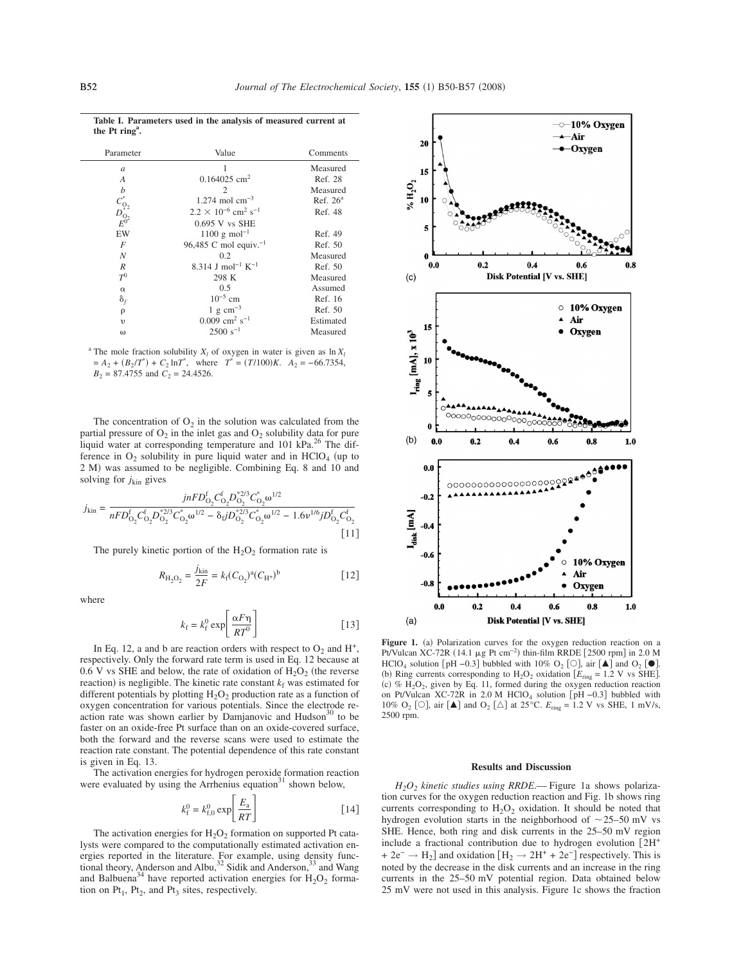**Table I. Parameters used in the analysis of measured current at** the Pt ring<sup>a</sup>.

| Parameter                                      | Value                                                | Comments   |
|------------------------------------------------|------------------------------------------------------|------------|
| $\boldsymbol{a}$                               | 1                                                    | Measured   |
| A                                              | $0.164025$ cm <sup>2</sup>                           | Ref. 28    |
| b                                              | 2                                                    | Measured   |
|                                                | $1.274$ mol cm <sup>-3</sup>                         | Ref. $26a$ |
| $\overset{C_{\text{O}_2}^*}{D_{\text{O}_2}^*}$ | $2.2 \times 10^{-6}$ cm <sup>2</sup> s <sup>-1</sup> | Ref. 48    |
|                                                | $0.695$ V vs SHE                                     |            |
| EW                                             | $1100 \text{ g mol}^{-1}$                            | Ref. 49    |
| F                                              | 96,485 C mol equiv. <sup>-1</sup>                    | Ref. 50    |
| N                                              | 0.2                                                  | Measured   |
| $\boldsymbol{R}$                               | 8.314 J mol <sup>-1</sup> K <sup>-1</sup>            | Ref. 50    |
| T <sup>0</sup>                                 | 298 K                                                | Measured   |
| $\alpha$                                       | 0.5                                                  | Assumed    |
| $\delta_f$                                     | $10^{-5}$ cm                                         | Ref. 16    |
| ρ                                              | 1 g $\rm cm^{-3}$                                    | Ref. 50    |
| υ                                              | $0.009$ cm <sup>2</sup> s <sup>-1</sup>              | Estimated  |
| $\omega$                                       | $2500 s^{-1}$                                        | Measured   |

<sup>a</sup> The mole fraction solubility  $X_l$  of oxygen in water is given as  $\ln X_l$  $A_2 + (B_2/T^*) + C_2 \ln T^*$ , where  $T^* = (T/100)K$ .  $A_2 = -66.7354$ ,  $B_2 = 87.4755$  and  $C_2 = 24.4526$ .

The concentration of  $O_2$  in the solution was calculated from the partial pressure of  $O_2$  in the inlet gas and  $O_2$  solubility data for pure liquid water at corresponding temperature and 101 kPa.<sup>26</sup> The difference in  $O_2$  solubility in pure liquid water and in  $HClO<sub>4</sub>$  (up to 2 M) was assumed to be negligible. Combining Eq. 8 and 10 and solving for  $j_{\text{kin}}$  gives

$$
j_{\rm kin} = \frac{j n F D_{\rm O_2}^{\rm f} C_{\rm O_2}^{\rm f} D_{\rm O_2}^{\rm f} C_{\rm O_2}^{\rm f} \omega^{1/2}}{n F D_{\rm O_2}^{\rm f} C_{\rm O_2}^{\rm f} D_{\rm O_2}^{\rm f} C_{\rm O_2}^{\rm f} \omega^{1/2} - \delta_{\rm f} j D_{\rm O_2}^{\rm f} C_{\rm O_2}^{\rm f} \omega^{1/2} - 1.6 \nu^{1/6} j D_{\rm O_2}^{\rm f} C_{\rm O_2}^{\rm f}}{\left[11\right]}
$$

The purely kinetic portion of the  $H_2O_2$  formation rate is

$$
R_{\text{H}_2\text{O}_2} = \frac{j_{\text{kin}}}{2F} = k_f (C_{\text{O}_2})^a (C_{\text{H}^+})^b
$$
 [12]

where

$$
k_{\rm f} = k_{\rm f}^0 \exp\left[\frac{\alpha F \eta}{RT^0}\right] \tag{13}
$$

In Eq. 12, a and b are reaction orders with respect to  $O_2$  and  $H^+$ , respectively. Only the forward rate term is used in Eq. 12 because at 0.6 V vs SHE and below, the rate of oxidation of  $H_2O_2$  (the reverse reaction) is negligible. The kinetic rate constant  $k_f$  was estimated for different potentials by plotting  $H_2O_2$  production rate as a function of oxygen concentration for various potentials. Since the electrode reaction rate was shown earlier by Damjanovic and Hudson $30$  to be faster on an oxide-free Pt surface than on an oxide-covered surface, both the forward and the reverse scans were used to estimate the reaction rate constant. The potential dependence of this rate constant is given in Eq. 13.

The activation energies for hydrogen peroxide formation reaction were evaluated by using the Arrhenius equation<sup>31</sup> shown below,

$$
k_{\rm f}^0 = k_{\rm f,0}^0 \exp\left[\frac{E_{\rm a}}{RT}\right] \tag{14}
$$

The activation energies for  $H_2O_2$  formation on supported Pt catalysts were compared to the computationally estimated activation energies reported in the literature. For example, using density functional theory, Anderson and Albu,<sup>32</sup> Sidik and Anderson,<sup>33</sup> and Wang and Balbuena<sup>34</sup> have reported activation energies for  $H_2O_2$  formation on  $Pt_1$ ,  $Pt_2$ , and  $Pt_3$  sites, respectively.



Figure 1. (a) Polarization curves for the oxygen reduction reaction on a Pt/Vulcan XC-72R (14.1 μg Pt cm<sup>-2</sup>) thin-film RRDE [2500 rpm] in 2.0 M HClO<sub>4</sub> solution [pH –0.3] bubbled with 10% O<sub>2</sub> [O], air [**A**] and O<sub>2</sub> [ $\bullet$ ]. (b) Ring currents corresponding to  $H_2O_2$  oxidation  $[E_{ring} = 1.2 \text{ V}$  vs SHE. (c) %  $H_2O_2$ , given by Eq. 11, formed during the oxygen reduction reaction on Pt/Vulcan XC-72R in 2.0 M HClO<sub>4</sub> solution [pH -0.3] bubbled with 10% O<sub>2</sub> [O], air  $[\triangle]$  and O<sub>2</sub> [ $\triangle]$ ] at 25°C.  $E_{ring} = 1.2$  V vs SHE, 1 mV/s, 2500 rpm.

### **Results and Discussion**

*H2O2 kinetic studies using RRDE*.— Figure 1a shows polarization curves for the oxygen reduction reaction and Fig. 1b shows ring currents corresponding to  $H_2O_2$  oxidation. It should be noted that hydrogen evolution starts in the neighborhood of  $\sim$  25–50 mV vs SHE. Hence, both ring and disk currents in the 25–50 mV region include a fractional contribution due to hydrogen evolution 2H<sup>+</sup> + 2e<sup>-</sup> → H<sub>2</sub>] and oxidation  $[H_2 \rightarrow 2H^+ + 2e^-]$  respectively. This is noted by the decrease in the disk currents and an increase in the ring currents in the 25–50 mV potential region. Data obtained below 25 mV were not used in this analysis. Figure 1c shows the fraction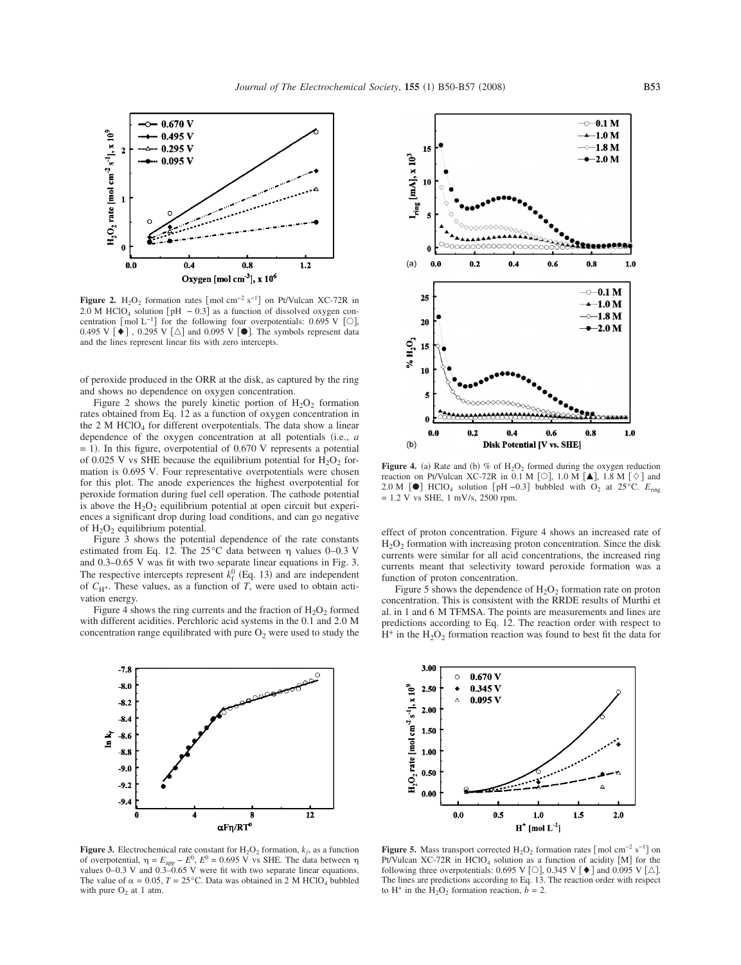

**Figure 2.** H<sub>2</sub>O<sub>2</sub> formation rates  $\text{[mol cm}^{-2} \text{ s}^{-1}\text{]}$  on Pt/Vulcan XC-72R in 2.0 M HClO<sub>4</sub> solution [pH  $-0.3$ ] as a function of dissolved oxygen concentration  $\lceil \text{mol } L^{-1} \rceil$  for the following four overpotentials: 0.695 V  $\lceil \text{O} \rceil$ , 0.495 V  $\left[\blacklozenge\right]$ , 0.295 V  $\left[\triangle\right]$  and 0.095 V  $\left[\blacklozenge\right]$ . The symbols represent data and the lines represent linear fits with zero intercepts.

of peroxide produced in the ORR at the disk, as captured by the ring and shows no dependence on oxygen concentration.

Figure 2 shows the purely kinetic portion of  $H_2O_2$  formation rates obtained from Eq. 12 as a function of oxygen concentration in the 2 M HClO<sub>4</sub> for different overpotentials. The data show a linear dependence of the oxygen concentration at all potentials (i.e., *a*  $= 1$ ). In this figure, overpotential of 0.670 V represents a potential of 0.025 V vs SHE because the equilibrium potential for  $H_2O_2$  formation is 0.695 V. Four representative overpotentials were chosen for this plot. The anode experiences the highest overpotential for peroxide formation during fuel cell operation. The cathode potential is above the  $H_2O_2$  equilibrium potential at open circuit but experiences a significant drop during load conditions, and can go negative of  $H_2O_2$  equilibrium potential.

Figure 3 shows the potential dependence of the rate constants estimated from Eq. 12. The  $25^{\circ}$ C data between  $\eta$  values 0–0.3 V and 0.3–0.65 V was fit with two separate linear equations in Fig. 3. The respective intercepts represent  $k_f^0$  (Eq. 13) and are independent of *C*H+. These values, as a function of *T*, were used to obtain activation energy.

Figure 4 shows the ring currents and the fraction of  $H_2O_2$  formed with different acidities. Perchloric acid systems in the 0.1 and 2.0 M concentration range equilibrated with pure  $O_2$  were used to study the



**Figure 3.** Electrochemical rate constant for  $H_2O_2$  formation,  $k_f$ , as a function of overpotential,  $η = E<sub>app</sub> − E<sup>0</sup>$ ,  $E<sup>0</sup> = 0.695$  V vs SHE. The data between  $η$ values 0–0.3 V and 0.3–0.65 V were fit with two separate linear equations. The value of  $\alpha = 0.05$ ,  $T = 25^{\circ}\text{C}$ . Data was obtained in 2 M HClO<sub>4</sub> bubbled with pure  $O_2$  at 1 atm.



**Figure 4.** (a) Rate and (b) % of  $H_2O_2$  formed during the oxygen reduction reaction on Pt/Vulcan XC-72R in 0.1 M [O], 1.0 M  $[\Delta]$ , 1.8 M  $[\diamond]$  and 2.0 M  $\text{[} \bullet \text{]}$  HClO<sub>4</sub> solution  $\text{[} \text{pH } -0.3 \text{]}$  bubbled with O<sub>2</sub> at 25°C.  $E_{\text{ring}}$  $= 1.2$  V vs SHE, 1 mV/s, 2500 rpm.

effect of proton concentration. Figure 4 shows an increased rate of  $H<sub>2</sub>O<sub>2</sub>$  formation with increasing proton concentration. Since the disk currents were similar for all acid concentrations, the increased ring currents meant that selectivity toward peroxide formation was a function of proton concentration.

Figure 5 shows the dependence of  $H_2O_2$  formation rate on proton concentration. This is consistent with the RRDE results of Murthi et al. in 1 and 6 M TFMSA. The points are measurements and lines are predictions according to Eq. 12. The reaction order with respect to  $H^+$  in the  $H_2O_2$  formation reaction was found to best fit the data for



**Figure 5.** Mass transport corrected H<sub>2</sub>O<sub>2</sub> formation rates  $\lceil \text{mol cm}^{-2} \text{ s}^{-1} \rceil$  on Pt/Vulcan XC-72R in HClO<sub>4</sub> solution as a function of acidity  $[M]$  for the following three overpotentials: 0.695 V [O], 0.345 V [ $\blacklozenge$ ] and 0.095 V [ $\triangle$ ]. The lines are predictions according to Eq. 13. The reaction order with respect to H<sup>+</sup> in the H<sub>2</sub>O<sub>2</sub> formation reaction,  $b = 2$ .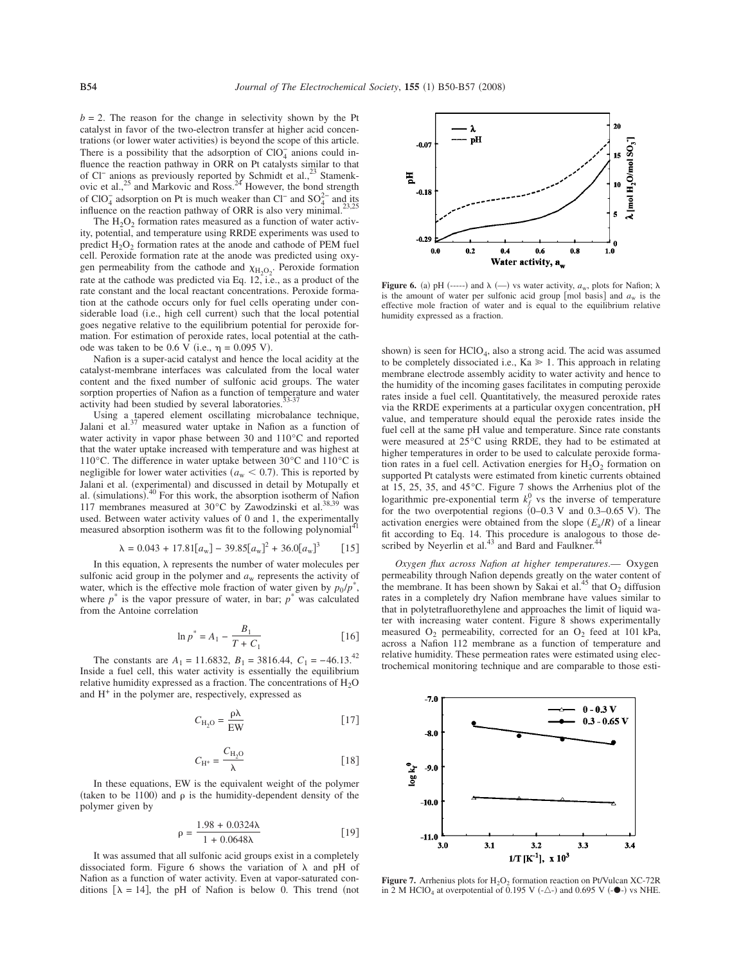$b = 2$ . The reason for the change in selectivity shown by the Pt catalyst in favor of the two-electron transfer at higher acid concentrations (or lower water activities) is beyond the scope of this article. There is a possibility that the adsorption of  $ClO<sub>4</sub><sup>-</sup>$  anions could influence the reaction pathway in ORR on Pt catalysts similar to that of Cl<sup>−</sup> anions as previously reported by Schmidt et al.,<sup>23</sup> Stamenkovic et al.,<sup>25</sup> and Markovic and Ross.<sup>24</sup> However, the bond strength of ClO<sub>4</sub> adsorption on Pt is much weaker than Cl<sup>−</sup> and SO<sub>4</sub><sup>2</sup> and its influence on the reaction pathway of ORR is also very minimal.<sup>23,25</sup>

The  $H_2O_2$  formation rates measured as a function of water activity, potential, and temperature using RRDE experiments was used to predict  $H_2O_2$  formation rates at the anode and cathode of PEM fuel cell. Peroxide formation rate at the anode was predicted using oxygen permeability from the cathode and  $\chi_{H_2O_2}$ . Peroxide formation rate at the cathode was predicted via Eq. 12, i.e., as a product of the rate constant and the local reactant concentrations. Peroxide formation at the cathode occurs only for fuel cells operating under considerable load (i.e., high cell current) such that the local potential goes negative relative to the equilibrium potential for peroxide formation. For estimation of peroxide rates, local potential at the cathode was taken to be 0.6 V (i.e.,  $η = 0.095$  V).

Nafion is a super-acid catalyst and hence the local acidity at the catalyst-membrane interfaces was calculated from the local water content and the fixed number of sulfonic acid groups. The water sorption properties of Nafion as a function of temperature and water activity had been studied by several laboratories.<sup>33-37</sup>

Using a tapered element oscillating microbalance technique, Jalani et al.<sup>37</sup> measured water uptake in Nafion as a function of water activity in vapor phase between 30 and 110°C and reported that the water uptake increased with temperature and was highest at 110°C. The difference in water uptake between 30°C and 110°C is negligible for lower water activities  $(a_w < 0.7)$ . This is reported by Jalani et al. (experimental) and discussed in detail by Motupally et al. (simulations).<sup>40</sup> For this work, the absorption isotherm of Nafion 117 membranes measured at  $30^{\circ}$ C by Zawodzinski et al.<sup>38,39</sup> was used. Between water activity values of 0 and 1, the experimentally measured absorption isotherm was fit to the following polynomial<sup>4</sup>

$$
\lambda = 0.043 + 17.81[a_w] - 39.85[a_w]^2 + 36.0[a_w]^3 \quad [15]
$$

In this equation,  $\lambda$  represents the number of water molecules per sulfonic acid group in the polymer and  $a_w$  represents the activity of water, which is the effective mole fraction of water given by  $p_0/p^*$ , where  $p^*$  is the vapor pressure of water, in bar;  $p^*$  was calculated from the Antoine correlation

$$
\ln p^* = A_1 - \frac{B_1}{T + C_1} \tag{16}
$$

The constants are  $A_1 = 11.6832$ ,  $B_1 = 3816.44$ ,  $C_1 = -46.13$ .<sup>42</sup> Inside a fuel cell, this water activity is essentially the equilibrium relative humidity expressed as a fraction. The concentrations of  $H_2O$ and  $H^+$  in the polymer are, respectively, expressed as

$$
C_{\rm H_2O} = \frac{\rho \lambda}{\rm EW} \tag{17}
$$

$$
C_{\mathrm{H}^+} = \frac{C_{\mathrm{H}_2\mathrm{O}}}{\lambda} \tag{18}
$$

In these equations, EW is the equivalent weight of the polymer (taken to be 1100) and  $\rho$  is the humidity-dependent density of the polymer given by

$$
\rho = \frac{1.98 + 0.0324\lambda}{1 + 0.0648\lambda} \tag{19}
$$

It was assumed that all sulfonic acid groups exist in a completely dissociated form. Figure 6 shows the variation of  $\lambda$  and pH of Nafion as a function of water activity. Even at vapor-saturated conditions  $[\lambda = 14]$ , the pH of Nafion is below 0. This trend (not



**Figure 6.** (a) pH (-----) and  $\lambda$  (--) vs water activity,  $a_w$ , plots for Nafion;  $\lambda$ is the amount of water per sulfonic acid group [mol basis] and  $a_w$  is the effective mole fraction of water and is equal to the equilibrium relative humidity expressed as a fraction.

shown) is seen for HClO<sub>4</sub>, also a strong acid. The acid was assumed to be completely dissociated i.e.,  $Ka \geq 1$ . This approach in relating membrane electrode assembly acidity to water activity and hence to the humidity of the incoming gases facilitates in computing peroxide rates inside a fuel cell. Quantitatively, the measured peroxide rates via the RRDE experiments at a particular oxygen concentration, pH value, and temperature should equal the peroxide rates inside the fuel cell at the same pH value and temperature. Since rate constants were measured at 25°C using RRDE, they had to be estimated at higher temperatures in order to be used to calculate peroxide formation rates in a fuel cell. Activation energies for  $H_2O_2$  formation on supported Pt catalysts were estimated from kinetic currents obtained at 15, 25, 35, and 45°C. Figure 7 shows the Arrhenius plot of the logarithmic pre-exponential term  $k_f^0$  vs the inverse of temperature for the two overpotential regions  $(0-0.3 \text{ V}$  and  $0.3-0.65 \text{ V})$ . The activation energies were obtained from the slope  $(E_a/R)$  of a linear fit according to Eq. 14. This procedure is analogous to those described by Neyerlin et al.<sup>43</sup> and Bard and Faulkner.<sup>44</sup>

*Oxygen flux across Nafion at higher temperatures*.— Oxygen permeability through Nafion depends greatly on the water content of the membrane. It has been shown by Sakai et al.<sup>45</sup> that  $O_2$  diffusion rates in a completely dry Nafion membrane have values similar to that in polytetrafluorethylene and approaches the limit of liquid water with increasing water content. Figure 8 shows experimentally measured  $O_2$  permeability, corrected for an  $O_2$  feed at 101 kPa, across a Nafion 112 membrane as a function of temperature and relative humidity. These permeation rates were estimated using electrochemical monitoring technique and are comparable to those esti-



**Figure 7.** Arrhenius plots for  $H_2O_2$  formation reaction on Pt/Vulcan XC-72R in 2 M HClO<sub>4</sub> at overpotential of 0.195 V  $(-\triangle)$  and 0.695 V  $(-\triangle)$  vs NHE.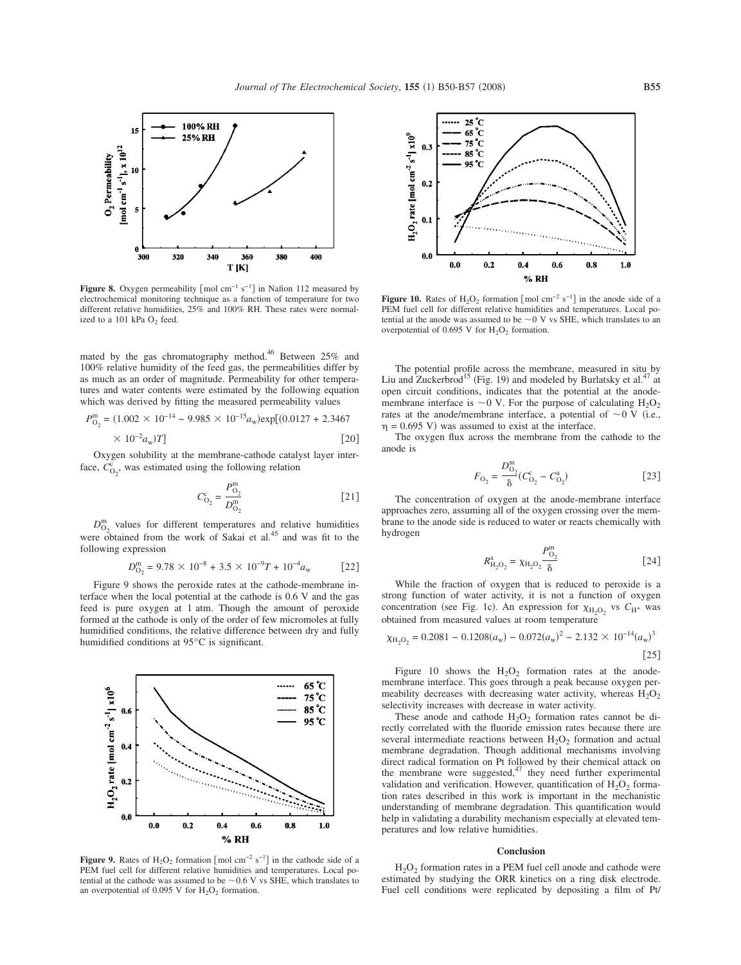

**Figure 8.** Oxygen permeability  $\left[\text{mol cm}^{-1} \text{ s}^{-1}\right]$  in Nafion 112 measured by electrochemical monitoring technique as a function of temperature for two different relative humidities, 25% and 100% RH. These rates were normalized to a  $101$  kPa  $O<sub>2</sub>$  feed.

mated by the gas chromatography method.<sup>46</sup> Between 25% and 100% relative humidity of the feed gas, the permeabilities differ by as much as an order of magnitude. Permeability for other temperatures and water contents were estimated by the following equation which was derived by fitting the measured permeability values

$$
P_{\text{O}_2}^{\text{m}} = (1.002 \times 10^{-14} - 9.985 \times 10^{-15} a_w) \exp[(0.0127 + 2.3467
$$
  
× 10<sup>-2</sup> a<sub>w</sub>)*T*] [20]

Oxygen solubility at the membrane-cathode catalyst layer interface,  $\overline{C}_{Q_2}^c$ , was estimated using the following relation

$$
C_{\text{O}_2}^{\text{c}} = \frac{P_{\text{O}_2}^{\text{m}}}{D_{\text{O}_2}^{\text{m}}} \tag{21}
$$

 $D_{\text{O}_2}^{\text{m}}$  values for different temperatures and relative humidities were obtained from the work of Sakai et al.<sup>45</sup> and was fit to the following expression

$$
D_{\text{O}_2}^{\text{m}} = 9.78 \times 10^{-8} + 3.5 \times 10^{-9} T + 10^{-4} a_w \tag{22}
$$

Figure 9 shows the peroxide rates at the cathode-membrane interface when the local potential at the cathode is 0.6 V and the gas feed is pure oxygen at 1 atm. Though the amount of peroxide formed at the cathode is only of the order of few micromoles at fully humidified conditions, the relative difference between dry and fully humidified conditions at 95°C is significant.



**Figure 9.** Rates of H<sub>2</sub>O<sub>2</sub> formation  $\lceil \text{mol cm}^{-2} \text{ s}^{-1} \rceil$  in the cathode side of a PEM fuel cell for different relative humidities and temperatures. Local potential at the cathode was assumed to be  $\sim$  0.6 V vs SHE, which translates to an overpotential of 0.095 V for  $H_2O_2$  formation.



**Figure 10.** Rates of H<sub>2</sub>O<sub>2</sub> formation [mol cm<sup>-2</sup> s<sup>-1</sup>] in the anode side of a PEM fuel cell for different relative humidities and temperatures. Local potential at the anode was assumed to be  $\sim 0$  V vs SHE, which translates to an overpotential of 0.695 V for  $H_2O_2$  formation.

The potential profile across the membrane, measured in situ by Liu and Zuckerbrod<sup>15</sup> (Fig. 19) and modeled by Burlatsky et al.<sup>47</sup> at open circuit conditions, indicates that the potential at the anodemembrane interface is  $\sim$  0 V. For the purpose of calculating H<sub>2</sub>O<sub>2</sub> rates at the anode/membrane interface, a potential of  $\sim 0$  V (i.e.,  $\eta = 0.695$  V) was assumed to exist at the interface.

The oxygen flux across the membrane from the cathode to the anode is

$$
F_{\text{O}_2} = \frac{D_{\text{O}_2}^{\text{m}}}{\delta} (C_{\text{O}_2}^{\text{c}} - C_{\text{O}_2}^{\text{a}})
$$
 [23]

The concentration of oxygen at the anode-membrane interface approaches zero, assuming all of the oxygen crossing over the membrane to the anode side is reduced to water or reacts chemically with hydrogen

$$
R_{\text{H}_2\text{O}_2}^a = \chi_{\text{H}_2\text{O}_2} \frac{P_{\text{O}_2}^{\text{m}}}{\delta} \tag{24}
$$

While the fraction of oxygen that is reduced to peroxide is a strong function of water activity, it is not a function of oxygen concentration (see Fig. 1c). An expression for  $\chi_{H_2O_2}$  vs  $C_{H^+}$  was obtained from measured values at room temperature

$$
\chi_{\rm H_2O_2} = 0.2081 - 0.1208(a_w) - 0.072(a_w)^2 - 2.132 \times 10^{-14}(a_w)^3
$$
\n[25]

Figure 10 shows the  $H_2O_2$  formation rates at the anodemembrane interface. This goes through a peak because oxygen permeability decreases with decreasing water activity, whereas  $H_2O_2$ selectivity increases with decrease in water activity.

These anode and cathode  $H_2O_2$  formation rates cannot be directly correlated with the fluoride emission rates because there are several intermediate reactions between  $H_2O_2$  formation and actual membrane degradation. Though additional mechanisms involving direct radical formation on Pt followed by their chemical attack on the membrane were suggested, $47$  they need further experimental validation and verification. However, quantification of  $H_2O_2$  formation rates described in this work is important in the mechanistic understanding of membrane degradation. This quantification would help in validating a durability mechanism especially at elevated temperatures and low relative humidities.

#### **Conclusion**

 $H<sub>2</sub>O<sub>2</sub>$  formation rates in a PEM fuel cell anode and cathode were estimated by studying the ORR kinetics on a ring disk electrode. Fuel cell conditions were replicated by depositing a film of Pt/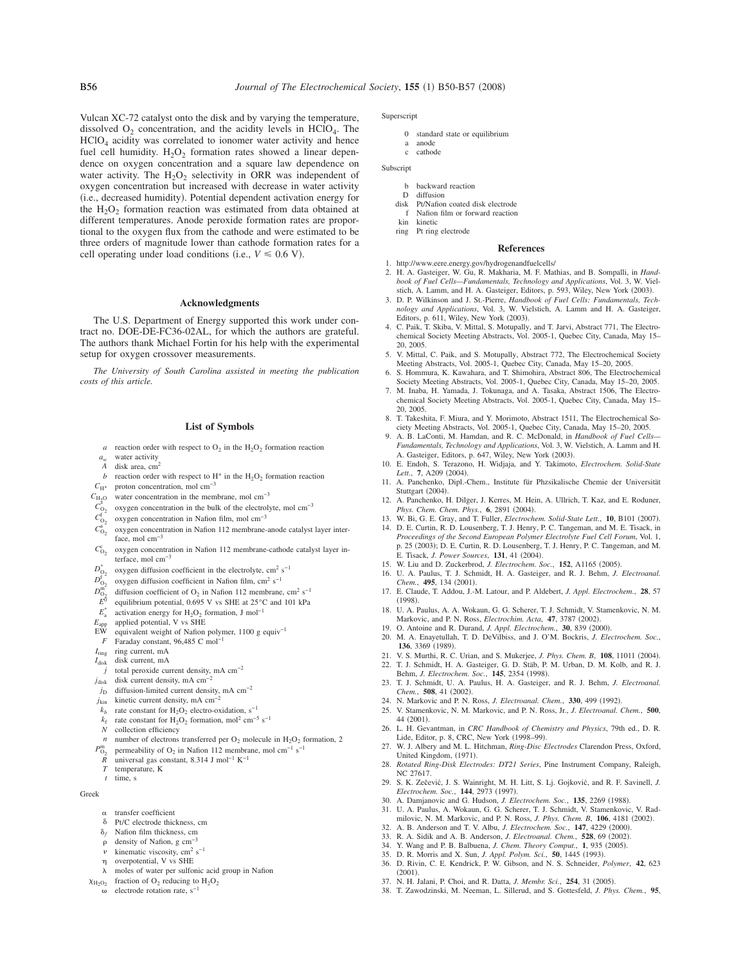Vulcan XC-72 catalyst onto the disk and by varying the temperature, dissolved  $O_2$  concentration, and the acidity levels in HClO<sub>4</sub>. The  $HClO<sub>4</sub>$  acidity was correlated to ionomer water activity and hence fuel cell humidity.  $H_2O_2$  formation rates showed a linear dependence on oxygen concentration and a square law dependence on water activity. The  $H_2O_2$  selectivity in ORR was independent of oxygen concentration but increased with decrease in water activity (i.e., decreased humidity). Potential dependent activation energy for the  $H_2O_2$  formation reaction was estimated from data obtained at different temperatures. Anode peroxide formation rates are proportional to the oxygen flux from the cathode and were estimated to be three orders of magnitude lower than cathode formation rates for a cell operating under load conditions (i.e.,  $V \le 0.6$  V).

# **Acknowledgments**

The U.S. Department of Energy supported this work under contract no. DOE-DE-FC36-02AL, for which the authors are grateful. The authors thank Michael Fortin for his help with the experimental setup for oxygen crossover measurements.

*The University of South Carolina assisted in meeting the publication costs of this article.*

## **List of Symbols**

- *a* reaction order with respect to  $O_2$  in the H<sub>2</sub>O<sub>2</sub> formation reaction
- $a_w$  water activity<br>*A* disk area, cm
- disk area, cm<sup>2</sup>
- *b* reaction order with respect to  $H^+$  in the  $H_2O_2$  formation reaction
- $C_{\text{H}^+}$  proton concentration, mol cm<sup>-3</sup>
- $C_{\text{H}_2\text{O}}$  water concentration in the membrane, mol cm<sup>-3</sup>
- $C_{Q_2}^*$  oxygen concentration in the bulk of the electrolyte, mol cm<sup>-3</sup>
- $C_{O_2}^{f^{-}}$  oxygen concentration in Nafion film, mol cm<sup>-3</sup>
- $C^{\mathrm{a}}_{\mathrm{O}_2}$ oxygen concentration in Nafion 112 membrane-anode catalyst layer interface, mol cm−3
- $C_{O_2}^c$  oxygen concentration in Nafion 112 membrane-cathode catalyst layer interface, mol cm−3
- $D_{Q_2}^*$  oxygen diffusion coefficient in the electrolyte, cm<sup>2</sup> s<sup>-1</sup>
- $D_{\text{O}_2}^{\text{f}}$  oxygen diffusion coefficient in Nafion film, cm<sup>2</sup> s<sup>-1</sup>
- $D_{\substack{O_2\\ E^0}}^{\rm m}$ diffusion coefficient of O<sub>2</sub> in Nafion 112 membrane, cm<sup>2</sup> s<sup>-1</sup>
- equilibrium potential, 0.695 V vs SHE at 25°C and 101 kPa
- $E^*_{\rm a}$ activation energy for  $\rm H_2O_2$  formation, J  $\rm mol^{-1}$
- $E_{\text{app}}$  applied potential, V vs SHE<br>EW equivalent weight of Nafion
- equivalent weight of Nafion polymer, 1100 g equiv<sup>-1</sup>
- *F* Faraday constant, 96,485 C mol<sup>-1</sup> *I*ring ring current, mA
- *I*disk disk current, mA
- *j* total peroxide current density, mA cm−2
- *j*<sub>disk</sub> disk current density, mA cm<sup>-2</sup>
- *j*<sub>D</sub> diffusion-limited current density, mA cm<sup>-2</sup>
- *j*<sub>kin</sub> kinetic current density, mA cm<sup>-2</sup>
- rate constant for  $H_2O_2$  electro-oxidation, s<sup>-1</sup>
- *k*<sub>f</sub> rate constant for H<sub>2</sub>O<sub>2</sub> formation, mol<sup>2</sup> cm<sup>-5</sup> s<sup>-1</sup>  $N$  collection efficiency
- collection efficiency
- *number* of electrons transferred per  $O_2$  molecule in  $H_2O_2$  formation, 2
- 
- $P_{\text{O}_2}^{\text{m}}$  permeability of O<sub>2</sub> in Nafion 112 membrane, mol cm<sup>-1</sup> s<sup>-1</sup>
- *R* universal gas constant, 8.314 J mol<sup>-1</sup> K<sup>-1</sup> *T* temperature. K temperature, K
- time, s

Greek

- transfer coefficient
- Pt/C electrode thickness, cm
- $\delta_f$  Nafion film thickness, cm
- density of Nafion, g cm−3
- v kinematic viscosity, cm<sup>2</sup> s<sup>-1</sup>
- overpotential, V vs SHE
- moles of water per sulfonic acid group in Nafion
- $X_{H_2O_2}$  fraction of  $O_2$  reducing to  $H_2O_2$
- electrode rotation rate, s−1

Superscript

- 0 standard state or equilibrium
- a anode c cathode
- 

Subscript

- b backward reaction
- D diffusion disk Pt/Nafion coated disk electrode
- f Nafion film or forward reaction
- 
- kin kinetic<br>ring Pt ring Pt ring electrode

#### **References**

- 1. http://www.eere.energy.gov/hydrogenandfuelcells/
- 2. H. A. Gasteiger, W. Gu, R. Makharia, M. F. Mathias, and B. Sompalli, in *Handbook of Fuel Cells—Fundamentals, Technology and Applications*, Vol. 3, W. Vielstich, A. Lamm, and H. A. Gasteiger, Editors, p. 593, Wiley, New York (2003).
- 3. D. P. Wilkinson and J. St.-Pierre, *Handbook of Fuel Cells: Fundamentals, Technology and Applications*, Vol. 3, W. Vielstich, A. Lamm and H. A. Gasteiger, Editors, p. 611, Wiley, New York (2003).
- 4. C. Paik, T. Skiba, V. Mittal, S. Motupally, and T. Jarvi, Abstract 771, The Electrochemical Society Meeting Abstracts, Vol. 2005-1, Quebec City, Canada, May 15– 20, 2005.
- 5. V. Mittal, C. Paik, and S. Motupally, Abstract 772, The Electrochemical Society Meeting Abstracts, Vol. 2005-1, Quebec City, Canada, May 15–20, 2005.
- 6. S. Hommura, K. Kawahara, and T. Shimohira, Abstract 806, The Electrochemical Society Meeting Abstracts, Vol. 2005-1, Quebec City, Canada, May 15–20, 2005.
- 7. M. Inaba, H. Yamada, J. Tokunaga, and A. Tasaka, Abstract 1506, The Electrochemical Society Meeting Abstracts, Vol. 2005-1, Quebec City, Canada, May 15– 20, 2005.
- 8. T. Takeshita, F. Miura, and Y. Morimoto, Abstract 1511, The Electrochemical Society Meeting Abstracts, Vol. 2005-1, Quebec City, Canada, May 15–20, 2005.
- 9. A. B. LaConti, M. Hamdan, and R. C. McDonald, in *Handbook of Fuel Cells— Fundamentals, Technology and Applications*, Vol. 3, W. Vielstich, A. Lamm and H. A. Gasteiger, Editors, p. 647, Wiley, New York (2003).
- 10. E. Endoh, S. Terazono, H. Widjaja, and Y. Takimoto, *Electrochem. Solid-State* Lett., 7, A209 (2004).
- 11. A. Panchenko, Dipl.-Chem., Institute für Phzsikalische Chemie der Universität Stuttgart (2004) .
- 12. A. Panchenko, H. Dilger, J. Kerres, M. Hein, A. Ullrich, T. Kaz, and E. Roduner, Phys. Chem. Chem. Phys., **6**, 2891 (2004).
- 13. W. Bi, G. E. Gray, and T. Fuller, *Electrochem. Solid-State Lett.*, **10**, B101 (2007). 14. D. E. Curtin, R. D. Lousenberg, T. J. Henry, P. C. Tangeman, and M. E. Tisack, in
	- *Proceedings of the Second European Polymer Electrolyte Fuel Cell Forum*, Vol. 1, p. 25 (2003); D. E. Curtin, R. D. Lousenberg, T. J. Henry, P. C. Tangeman, and M. E. Tisack, *J. Power Sources*, 131, 41 (2004).
- 15. W. Liu and D. Zuckerbrod, *J. Electrochem. Soc.*, **152**, A1165 (2005).
- 16. U. A. Paulus, T. J. Schmidt, H. A. Gasteiger, and R. J. Behm, *J. Electroanal.* Chem., 495, 134 (2001).
- 17. E. Claude, T. Addou, J.-M. Latour, and P. Aldebert, *J. Appl. Electrochem.*, **28**, 57  $(1998)$ .
- 18. U. A. Paulus, A. A. Wokaun, G. G. Scherer, T. J. Schmidt, V. Stamenkovic, N. M. Markovic, and P. N. Ross, *Electrochim. Acta*, 47, 3787 (2002).
- 19. O. Antoine and R. Durand, *J. Appl. Electrochem.*, **30**, 839 (2000).
- 20. M. A. Enayetullah, T. D. DeVilbiss, and J. O'M. Bockris, *J. Electrochem. Soc.*, **136**, 3369 (1989).
- 21. V. S. Murthi, R. C. Urian, and S. Mukerjee, *J. Phys. Chem. B*, 108, 11011 (2004). 22. T. J. Schmidt, H. A. Gasteiger, G. D. Stäb, P. M. Urban, D. M. Kolb, and R. J.
- Behm, *J. Electrochem. Soc.*, 145, 2354 (1998).
- 23. T. J. Schmidt, U. A. Paulus, H. A. Gasteiger, and R. J. Behm, *J. Electroanal.* Chem., 508, 41 (2002).
- 24. N. Markovic and P. N. Ross, *J. Electroanal. Chem.*, **330**, 499 1992-. 25. V. Stamenkovic, N. M. Markovic, and P. N. Ross, Jr., *J. Electroanal. Chem.*, **500**, 44 (2001).
- 26. L. H. Gevantman, in *CRC Handbook of Chemistry and Physics*, 79th ed., D. R. Lide, Editor, p. 8, CRC, New York (1998-99).
- 27. W. J. Albery and M. L. Hitchman, *Ring-Disc Electrodes* Clarendon Press, Oxford, United Kingdom, (1971).
- 28. *Rotated Ring-Disk Electrodes: DT21 Series*, Pine Instrument Company, Raleigh, NC 27617.
- 29. S. K. Zečević, J. S. Wainright, M. H. Litt, S. Lj. Gojković, and R. F. Savinell, *J.* Electrochem. Soc., 144, 2973 (1997).
- 30. A. Damjanovic and G. Hudson, *J. Electrochem. Soc.*, 135, 2269 (1988). 31. U. A. Paulus, A. Wokaun, G. G. Scherer, T. J. Schmidt, V. Stamenkovic, V. Rad-
- milovic, N. M. Markovic, and P. N. Ross, *J. Phys. Chem. B*, **106**, 4181 (2002).<br>32. A. B. Anderson and T. V. Albu, *J. Electrochem. Soc.*, **147**, 4229 (2000).
- 33. R. A. Sidik and A. B. Anderson, *J. Electroanal. Chem.*, **528**, 69 (2002).
- 34. Y. Wang and P. B. Balbuena, *J. Chem. Theory Comput.*, **1**, 935 (2005).
- 35. D. R. Morris and X. Sun, *J. Appl. Polym. Sci.*, **50**, 1445 (1993).
- 36. D. Rivin, C. E. Kendrick, P. W. Gibson, and N. S. Schneider, *Polymer*, **42**, 623  $(2001).$
- 37. N. H. Jalani, P. Choi, and R. Datta, *J. Membr. Sci.*, 254, 31 (2005).
- 38. T. Zawodzinski, M. Neeman, L. Sillerud, and S. Gottesfeld, *J. Phys. Chem.*, **95**,